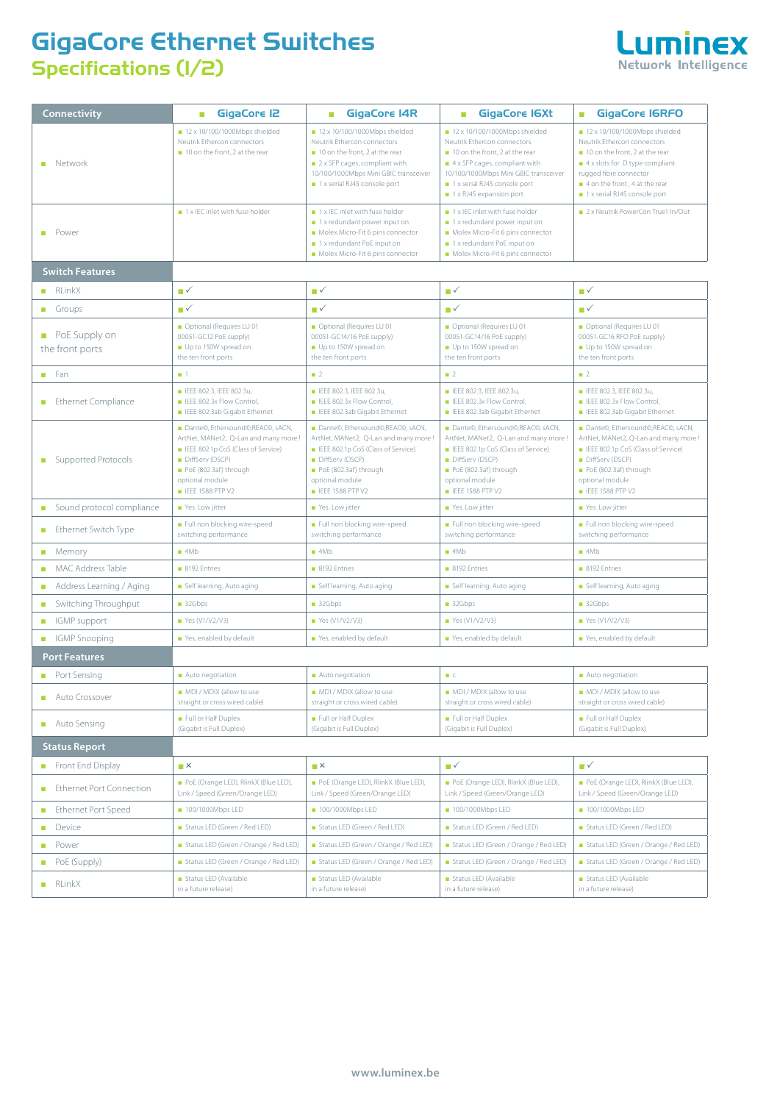## **GigaCore Ethernet Switches Specifications (1/2)**



| Connectivity                                         | <b>GigaCore 12</b><br>п                                                                                                                                                                                   | <b>GigaCore I4R</b><br>a.                                                                                                                                                                                                              | <b>GigaCore IGXt</b><br>o.                                                                                                                                                                                                                                               | <b>GigaCore IGRFO</b><br>$\blacksquare$                                                                                                                                                                                                    |  |  |
|------------------------------------------------------|-----------------------------------------------------------------------------------------------------------------------------------------------------------------------------------------------------------|----------------------------------------------------------------------------------------------------------------------------------------------------------------------------------------------------------------------------------------|--------------------------------------------------------------------------------------------------------------------------------------------------------------------------------------------------------------------------------------------------------------------------|--------------------------------------------------------------------------------------------------------------------------------------------------------------------------------------------------------------------------------------------|--|--|
| <b>Network</b>                                       | $\blacksquare$ 12 x 10/100/1000Mbps shielded<br>Neutrik Ethercon connectors<br>10 on the front, 2 at the rear                                                                                             | $\blacksquare$ 12 x 10/100/1000Mbps shielded<br>Neutrik Ethercon connectors<br>10 on the front, 2 at the rear<br>$\blacksquare$ 2 x SFP cages, compliant with<br>10/100/1000Mbps Mini GBIC transceiver<br>1 x serial RJ45 console port | $12 \times 10/100/1000Mbps shielded$<br>Neutrik Ethercon connectors<br>10 on the front, 2 at the rear<br>$\blacksquare$ 4 x SFP cages, compliant with<br>10/100/1000Mbps Mini GBIC transceiver<br>1 x serial RJ45 console port<br>$\blacksquare$ 1 x RJ45 expansion port | $\blacksquare$ 12 x 10/100/1000Mbps shielded<br>Neutrik Ethercon connectors<br>10 on the front, 2 at the rear<br>4 x slots for D type compliant<br>rugged fibre connector<br>4 on the front, 4 at the rear<br>1 x serial RJ45 console port |  |  |
| <b>Power</b>                                         | 1 x IEC inlet with fuse holder                                                                                                                                                                            | 1 x IEC inlet with fuse holder<br>$\blacksquare$ 1 x redundant power input on<br>Molex Micro-Fit 6 pins connector<br>1 x redundant PoE input on<br>Molex Micro-Fit 6 pins connector                                                    | $\blacksquare$ 1 x IEC inlet with fuse holder<br>1 x redundant power input on<br>Molex Micro-Fit 6 pins connector<br>1 x redundant PoE input on<br>Molex Micro-Fit 6 pins connector                                                                                      | 2 x Neutrik PowerCon True1 In/Out                                                                                                                                                                                                          |  |  |
| <b>Switch Features</b>                               |                                                                                                                                                                                                           |                                                                                                                                                                                                                                        |                                                                                                                                                                                                                                                                          |                                                                                                                                                                                                                                            |  |  |
| RLinkX                                               | ■✓                                                                                                                                                                                                        | ■✓                                                                                                                                                                                                                                     | ∎√                                                                                                                                                                                                                                                                       | ■✓                                                                                                                                                                                                                                         |  |  |
| $\blacksquare$ Groups                                | ∎√                                                                                                                                                                                                        | ■✓                                                                                                                                                                                                                                     | ∎√                                                                                                                                                                                                                                                                       | ■✓                                                                                                                                                                                                                                         |  |  |
| PoE Supply on<br>the front ports                     | Optional (Requires LU 01<br>00051-GC12 PoE supply)<br>Up to 150W spread on<br>the ten front ports                                                                                                         | Optional (Requires LU 01<br>00051-GC14/16 PoE supply)<br>Up to 150W spread on<br>the ten front ports                                                                                                                                   | Optional (Requires LU 01<br>00051-GC14/16 PoE supply)<br>Up to 150W spread on<br>the ten front ports                                                                                                                                                                     | Optional (Requires LU 01<br>00051-GC16 RFO PoE supply)<br>Up to 150W spread on<br>the ten front ports                                                                                                                                      |  |  |
| $F$ an                                               | $\blacksquare$ 1                                                                                                                                                                                          | $\blacksquare$ 2                                                                                                                                                                                                                       | $\blacksquare$ 2                                                                                                                                                                                                                                                         | $\blacksquare$ 2                                                                                                                                                                                                                           |  |  |
| <b>Ethernet Compliance</b><br>a.                     | ELEE 802.3, IEEE 802.3u,<br>EEE 802.3x Flow Control,<br>ELEE 802.3ab Gigabit Ethernet                                                                                                                     | E IEEE 802.3. IEEE 802.3u.<br>EEE 802.3x Flow Control,<br>E IEEE 802.3ab Gigabit Ethernet                                                                                                                                              | E IEEE 802.3, IEEE 802.3u,<br>E IEEE 802.3x Flow Control,<br>E IEEE 802.3ab Gigabit Ethernet                                                                                                                                                                             | ■ IEEE 802.3, IEEE 802.3u,<br>E IEEE 802.3x Flow Control.<br>ELEE 802.3ab Gigabit Ethernet                                                                                                                                                 |  |  |
| Supported Protocols                                  | Dante©, Ethersound©, REAC©, sACN,<br>ArtNet, MANet2, Q-Lan and many more !<br>ELEE 802.1p CoS (Class of Service)<br>DiffServ (DSCP)<br>PoE (802.3af) through<br>optional module<br><b>EEE 1588 PTP V2</b> | Dante©, Ethersound©, REAC©, sACN,<br>ArtNet, MANet2, Q-Lan and many more !<br>ELEE 802.1p CoS (Class of Service)<br>DiffServ (DSCP)<br>PoE (802.3af) through<br>optional module<br><b>ELECTED 1588 PTP V2</b>                          | Dante©, Ethersound©, REAC©, sACN,<br>ArtNet, MANet2, Q-Lan and many more !<br>ELECE 802.1p CoS (Class of Service)<br>DiffServ (DSCP)<br>PoE (802.3af) through<br>optional module<br><b>E</b> IEEE 1588 PTP V2                                                            | Dante©, Ethersound©, REAC©, sACN,<br>ArtNet, MANet2, Q-Lan and many more !<br>ELEE 802.1p CoS (Class of Service)<br>DiffServ (DSCP)<br>PoE (802.3af) through<br>optional module<br><b>ELECT 1588 PTP V2</b>                                |  |  |
| Sound protocol compliance<br>m.                      | Yes. Low jitter                                                                                                                                                                                           | Yes. Low jitter                                                                                                                                                                                                                        | Yes. Low jitter                                                                                                                                                                                                                                                          | Yes. Low jitter                                                                                                                                                                                                                            |  |  |
| Ethernet Switch Type                                 | Full non blocking wire-speed<br>switching performance                                                                                                                                                     | Full non blocking wire-speed<br>switching performance                                                                                                                                                                                  | Full non blocking wire-speed<br>switching performance                                                                                                                                                                                                                    | Full non blocking wire-speed<br>switching performance                                                                                                                                                                                      |  |  |
| $M$ emory                                            | $-4Mb$                                                                                                                                                                                                    | $\blacksquare$ 4Mb                                                                                                                                                                                                                     | $-4Mb$                                                                                                                                                                                                                                                                   | $\blacksquare$ 4Mb                                                                                                                                                                                                                         |  |  |
| <b>MAC Address Table</b>                             | 8192 Entries                                                                                                                                                                                              | 8192 Entries                                                                                                                                                                                                                           | 8192 Entries                                                                                                                                                                                                                                                             | 8192 Entries                                                                                                                                                                                                                               |  |  |
| Address Learning / Aging<br>$\overline{\phantom{a}}$ | Self learning, Auto aging                                                                                                                                                                                 | Self learning, Auto aging                                                                                                                                                                                                              | Self learning, Auto aging                                                                                                                                                                                                                                                | Self learning, Auto aging                                                                                                                                                                                                                  |  |  |
| Switching Throughput<br>a.                           | 32Gbps                                                                                                                                                                                                    | 32Gbps                                                                                                                                                                                                                                 | 32Gbps                                                                                                                                                                                                                                                                   | 32Gbps                                                                                                                                                                                                                                     |  |  |
| ■ IGMP support                                       | Yes (V1/V2/V3)                                                                                                                                                                                            | ■ Yes (V1/V2/V3)                                                                                                                                                                                                                       | ■ Yes (V1/V2/V3)                                                                                                                                                                                                                                                         | ■ Yes (V1/V2/V3)                                                                                                                                                                                                                           |  |  |
| ■ IGMP Snooping                                      | Yes, enabled by default                                                                                                                                                                                   | Yes, enabled by default                                                                                                                                                                                                                | Yes, enabled by default                                                                                                                                                                                                                                                  | Yes, enabled by default                                                                                                                                                                                                                    |  |  |
| <b>Port Features</b>                                 |                                                                                                                                                                                                           |                                                                                                                                                                                                                                        |                                                                                                                                                                                                                                                                          |                                                                                                                                                                                                                                            |  |  |
| ■ Port Sensing                                       | Auto negotiation                                                                                                                                                                                          | Auto negotiation                                                                                                                                                                                                                       | C                                                                                                                                                                                                                                                                        | Auto negotiation                                                                                                                                                                                                                           |  |  |
| Auto Crossover                                       | ■ MDI / MDIX (allow to use<br>straight or cross wired cable)                                                                                                                                              | MDI / MDIX (allow to use<br>straight or cross wired cable)                                                                                                                                                                             | MDI / MDIX (allow to use<br>straight or cross wired cable)                                                                                                                                                                                                               | ■ MDI / MDIX (allow to use<br>straight or cross wired cable)                                                                                                                                                                               |  |  |
| Auto Sensing                                         | Full or Half Duplex<br>(Gigabit is Full Duplex)                                                                                                                                                           | Full or Half Duplex<br>(Gigabit is Full Duplex)                                                                                                                                                                                        | Full or Half Duplex<br>(Gigabit is Full Duplex)                                                                                                                                                                                                                          | Full or Half Duplex<br>(Gigabit is Full Duplex)                                                                                                                                                                                            |  |  |
| <b>Status Report</b>                                 |                                                                                                                                                                                                           |                                                                                                                                                                                                                                        |                                                                                                                                                                                                                                                                          |                                                                                                                                                                                                                                            |  |  |
| Front End Display                                    | $\mathbb{R}^{\times}$                                                                                                                                                                                     | $\mathbb{R}^{\times}$                                                                                                                                                                                                                  | ∎√                                                                                                                                                                                                                                                                       | ∎√                                                                                                                                                                                                                                         |  |  |
| <b>Ethernet Port Connection</b>                      | PoE (Orange LED), RlinkX (Blue LED),<br>Link / Speed (Green/Orange LED)                                                                                                                                   | PoE (Orange LED), RlinkX (Blue LED),<br>Link / Speed (Green/Orange LED)                                                                                                                                                                | PoE (Orange LED), RlinkX (Blue LED),<br>Link / Speed (Green/Orange LED)                                                                                                                                                                                                  | PoE (Orange LED), RlinkX (Blue LED),<br>Link / Speed (Green/Orange LED)                                                                                                                                                                    |  |  |
| <b>Ethernet Port Speed</b><br>m.                     | ■ 100/1000Mbps LED                                                                                                                                                                                        | 100/1000Mbps LED                                                                                                                                                                                                                       | ■ 100/1000Mbps LED                                                                                                                                                                                                                                                       | ■ 100/1000Mbps LED                                                                                                                                                                                                                         |  |  |
| Device                                               | Status LED (Green / Red LED)                                                                                                                                                                              | Status LED (Green / Red LED)                                                                                                                                                                                                           | Status LED (Green / Red LED)                                                                                                                                                                                                                                             | Status LED (Green / Red LED)                                                                                                                                                                                                               |  |  |
| Power<br>a.                                          | Status LED (Green / Orange / Red LED)                                                                                                                                                                     | Status LED (Green / Orange / Red LED)                                                                                                                                                                                                  | Status LED (Green / Orange / Red LED)                                                                                                                                                                                                                                    | Status LED (Green / Orange / Red LED)                                                                                                                                                                                                      |  |  |
| PoE (Supply)<br>a.                                   | Status LED (Green / Orange / Red LED)                                                                                                                                                                     | Status LED (Green / Orange / Red LED)                                                                                                                                                                                                  | Status LED (Green / Orange / Red LED)                                                                                                                                                                                                                                    | Status LED (Green / Orange / Red LED)                                                                                                                                                                                                      |  |  |
| $\blacksquare$ RLinkX                                | Status LED (Available<br>in a future release)                                                                                                                                                             | Status LED (Available<br>in a future release)                                                                                                                                                                                          | Status LED (Available<br>in a future release)                                                                                                                                                                                                                            | Status LED (Available<br>in a future release)                                                                                                                                                                                              |  |  |